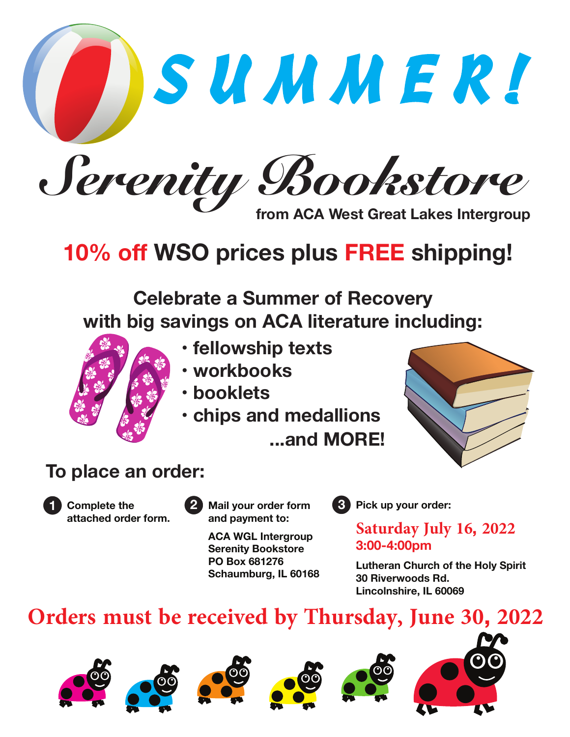S U M M E R ! Serenity Bookstore **from ACA West Great Lakes Intergroup**

# **10% off WSO prices plus FREE shipping!**

**Celebrate a Summer of Recovery with big savings on ACA literature including:**



- **fellowship texts**
- **workbooks**
- **booklets**
- **chips and medallions**
	- **...and MORE!**



## **To place an order:**



**Complete the attached order form.**

**1 Mail your order form and payment to: 2 Mail your order form 3** Pick up your order:

**ACA WGL Intergroup Serenity Bookstore PO Box 681276 Schaumburg, IL 60168**

**Saturday July 16, 2022 3:00-4:00pm**

**Lutheran Church of the Holy Spirit 30 Riverwoods Rd. Lincolnshire, IL 60069**

## **Orders must be received by Thursday, June 30, 2022**











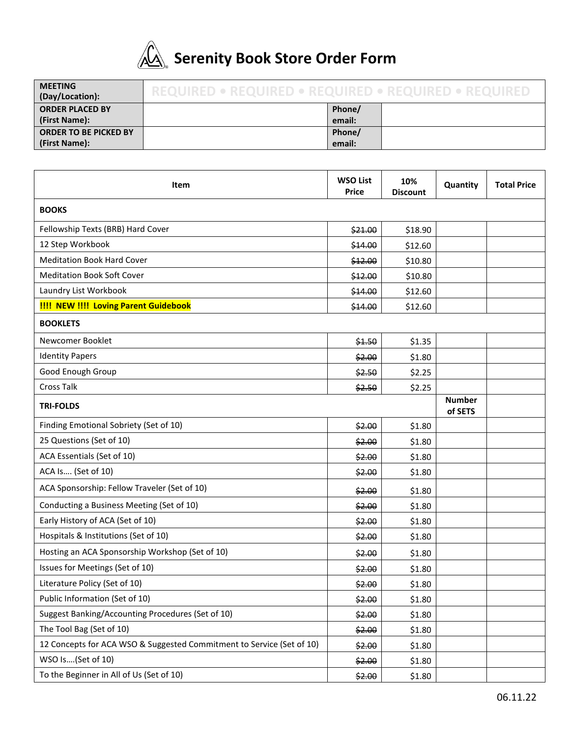

# **Serenity Book Store Order Form**

| <b>MEETING</b><br>(Day/Location):             | REQUIRED .<br><b>REQUIRED • REQUIRED • REQUIRED</b> |                  |  |  |
|-----------------------------------------------|-----------------------------------------------------|------------------|--|--|
| <b>ORDER PLACED BY</b><br>(First Name):       |                                                     | Phone/<br>email: |  |  |
| <b>ORDER TO BE PICKED BY</b><br>(First Name): |                                                     | Phone/<br>email: |  |  |

| Item                                                                  | <b>WSO List</b><br>Price | 10%<br><b>Discount</b> | Quantity | <b>Total Price</b> |  |  |
|-----------------------------------------------------------------------|--------------------------|------------------------|----------|--------------------|--|--|
| <b>BOOKS</b>                                                          |                          |                        |          |                    |  |  |
| Fellowship Texts (BRB) Hard Cover                                     | \$21.00                  | \$18.90                |          |                    |  |  |
| 12 Step Workbook                                                      | \$14.00                  | \$12.60                |          |                    |  |  |
| <b>Meditation Book Hard Cover</b>                                     | \$12.00                  | \$10.80                |          |                    |  |  |
| <b>Meditation Book Soft Cover</b>                                     |                          | \$10.80                |          |                    |  |  |
| Laundry List Workbook                                                 |                          | \$12.60                |          |                    |  |  |
| <b>!!!! NEW !!!! Loving Parent Guidebook</b>                          |                          | \$12.60                |          |                    |  |  |
| <b>BOOKLETS</b>                                                       |                          |                        |          |                    |  |  |
| Newcomer Booklet                                                      | \$4.50                   | \$1.35                 |          |                    |  |  |
| <b>Identity Papers</b>                                                | \$2.00                   | \$1.80                 |          |                    |  |  |
| Good Enough Group                                                     | \$2.50                   | \$2.25                 |          |                    |  |  |
| Cross Talk                                                            | \$2.50                   | \$2.25                 |          |                    |  |  |
| <b>TRI-FOLDS</b>                                                      | <b>Number</b><br>of SETS |                        |          |                    |  |  |
| Finding Emotional Sobriety (Set of 10)                                | \$2.00                   | \$1.80                 |          |                    |  |  |
| 25 Questions (Set of 10)                                              | \$2.00                   | \$1.80                 |          |                    |  |  |
| ACA Essentials (Set of 10)                                            | \$2.00                   | \$1.80                 |          |                    |  |  |
| ACA Is (Set of 10)                                                    | \$2.00                   | \$1.80                 |          |                    |  |  |
| ACA Sponsorship: Fellow Traveler (Set of 10)                          | \$2.00                   | \$1.80                 |          |                    |  |  |
| Conducting a Business Meeting (Set of 10)                             | \$2.00                   | \$1.80                 |          |                    |  |  |
| Early History of ACA (Set of 10)                                      | \$2.00                   | \$1.80                 |          |                    |  |  |
| Hospitals & Institutions (Set of 10)                                  | \$2.00                   | \$1.80                 |          |                    |  |  |
| Hosting an ACA Sponsorship Workshop (Set of 10)                       | \$2.00                   | \$1.80                 |          |                    |  |  |
| Issues for Meetings (Set of 10)                                       | \$2.00                   | \$1.80                 |          |                    |  |  |
| Literature Policy (Set of 10)                                         | \$2.00                   | \$1.80                 |          |                    |  |  |
| Public Information (Set of 10)                                        | \$2.00                   | \$1.80                 |          |                    |  |  |
| Suggest Banking/Accounting Procedures (Set of 10)                     | \$2.00                   | \$1.80                 |          |                    |  |  |
| The Tool Bag (Set of 10)                                              | \$2.00                   | \$1.80                 |          |                    |  |  |
| 12 Concepts for ACA WSO & Suggested Commitment to Service (Set of 10) | \$2.00                   | \$1.80                 |          |                    |  |  |
| WSO Is(Set of 10)                                                     | \$2.00                   | \$1.80                 |          |                    |  |  |
| To the Beginner in All of Us (Set of 10)                              | \$2.00                   | \$1.80                 |          |                    |  |  |